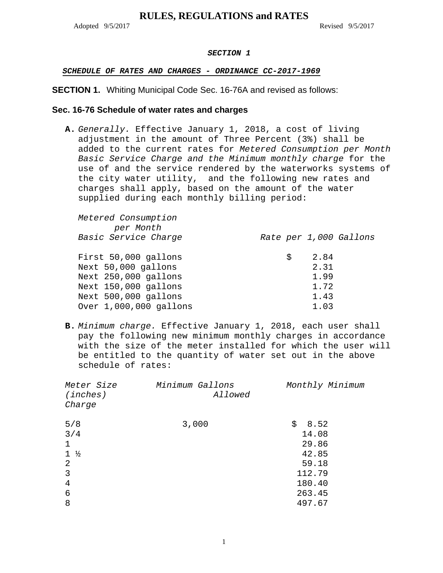Adopted 9/5/2017 Revised 9/5/2017

### *SECTION 1*

## *SCHEDULE OF RATES AND CHARGES - ORDINANCE CC-2017-1969*

## **SECTION 1.** Whiting Municipal Code Sec. 16-76A and revised as follows:

## **Sec. 16-76 Schedule of water rates and charges**

**A.** *Generally.* Effective January 1, 2018, a cost of living adjustment in the amount of Three Percent (3%) shall be added to the current rates for *Metered Consumption per Month Basic Service Charge and the Minimum monthly charge* for the use of and the service rendered by the waterworks systems of the city water utility, and the following new rates and charges shall apply, based on the amount of the water supplied during each monthly billing period:

| Ŝ. |      |                                |
|----|------|--------------------------------|
|    | 2.31 |                                |
|    | 1.99 |                                |
|    | 1.72 |                                |
|    | 1.43 |                                |
|    | 1.03 |                                |
|    |      | Rate per 1,000 Gallons<br>2.84 |

**B.** *Minimum charge.* Effective January 1, 2018, each user shall pay the following new minimum monthly charges in accordance with the size of the meter installed for which the user will be entitled to the quantity of water set out in the above schedule of rates:

| Meter Size<br>(inches)<br>Charge | Minimum Gallons<br>Allowed | Monthly Minimum |
|----------------------------------|----------------------------|-----------------|
| 5/8                              | 3,000                      | \$<br>8.52      |
| 3/4                              |                            | 14.08           |
| 1                                |                            | 29.86           |
| $1 \frac{1}{2}$                  |                            | 42.85           |
| 2                                |                            | 59.18           |
| 3                                |                            | 112.79          |
| 4                                |                            | 180.40          |
| 6                                |                            | 263.45          |
| 8                                |                            | 497.67          |
|                                  |                            |                 |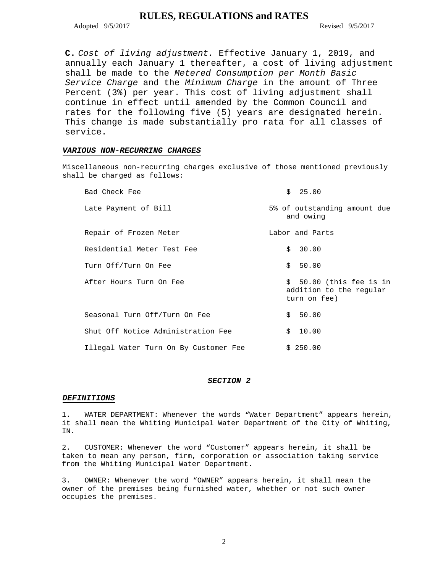Adopted 9/5/2017 Revised 9/5/2017

**C.** *Cost of living adjustment.* Effective January 1, 2019, and annually each January 1 thereafter, a cost of living adjustment shall be made to the *Metered Consumption per Month Basic Service Charge* and the *Minimum Charge* in the amount of Three Percent (3%) per year. This cost of living adjustment shall continue in effect until amended by the Common Council and rates for the following five (5) years are designated herein. This change is made substantially pro rata for all classes of service.

### *VARIOUS NON-RECURRING CHARGES*

Miscellaneous non-recurring charges exclusive of those mentioned previously shall be charged as follows:

| Bad Check Fee                         | \$25.00                                                             |
|---------------------------------------|---------------------------------------------------------------------|
| Late Payment of Bill                  | 5% of outstanding amount due<br>and owing                           |
| Repair of Frozen Meter                | Labor and Parts                                                     |
| Residential Meter Test Fee            | \$30.00                                                             |
| Turn Off/Turn On Fee                  | \$50.00                                                             |
| After Hours Turn On Fee               | \$ 50.00 (this fee is in<br>addition to the regular<br>turn on fee) |
| Seasonal Turn Off/Turn On Fee         | \$50.00                                                             |
| Shut Off Notice Administration Fee    | \$10.00                                                             |
| Illegal Water Turn On By Customer Fee | \$250.00                                                            |

#### *SECTION 2*

#### *DEFINITIONS*

1. WATER DEPARTMENT: Whenever the words "Water Department" appears herein, it shall mean the Whiting Municipal Water Department of the City of Whiting, IN.

2. CUSTOMER: Whenever the word "Customer" appears herein, it shall be taken to mean any person, firm, corporation or association taking service from the Whiting Municipal Water Department.

3. OWNER: Whenever the word "OWNER" appears herein, it shall mean the owner of the premises being furnished water, whether or not such owner occupies the premises.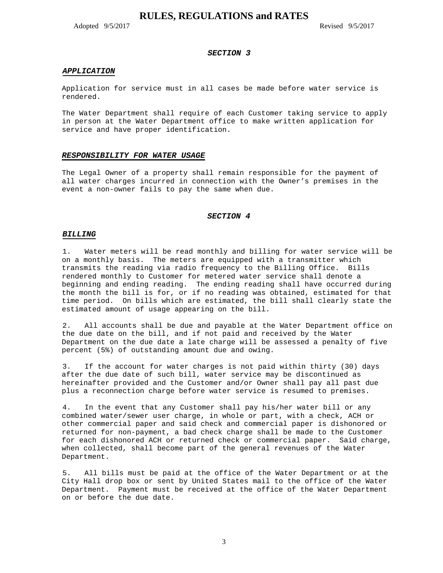Adopted 9/5/2017 Revised 9/5/2017

#### *SECTION 3*

#### *APPLICATION*

Application for service must in all cases be made before water service is rendered.

The Water Department shall require of each Customer taking service to apply in person at the Water Department office to make written application for service and have proper identification.

#### *RESPONSIBILITY FOR WATER USAGE*

The Legal Owner of a property shall remain responsible for the payment of all water charges incurred in connection with the Owner's premises in the event a non-owner fails to pay the same when due.

#### *SECTION 4*

#### *BILLING*

1. Water meters will be read monthly and billing for water service will be on a monthly basis. The meters are equipped with a transmitter which transmits the reading via radio frequency to the Billing Office. Bills rendered monthly to Customer for metered water service shall denote a beginning and ending reading. The ending reading shall have occurred during the month the bill is for, or if no reading was obtained, estimated for that time period. On bills which are estimated, the bill shall clearly state the estimated amount of usage appearing on the bill.

2. All accounts shall be due and payable at the Water Department office on the due date on the bill, and if not paid and received by the Water Department on the due date a late charge will be assessed a penalty of five percent (5%) of outstanding amount due and owing.

3. If the account for water charges is not paid within thirty (30) days after the due date of such bill, water service may be discontinued as hereinafter provided and the Customer and/or Owner shall pay all past due plus a reconnection charge before water service is resumed to premises.

4. In the event that any Customer shall pay his/her water bill or any combined water/sewer user charge, in whole or part, with a check, ACH or other commercial paper and said check and commercial paper is dishonored or returned for non-payment, a bad check charge shall be made to the Customer for each dishonored ACH or returned check or commercial paper. Said charge, when collected, shall become part of the general revenues of the Water Department.

5. All bills must be paid at the office of the Water Department or at the City Hall drop box or sent by United States mail to the office of the Water Department. Payment must be received at the office of the Water Department on or before the due date.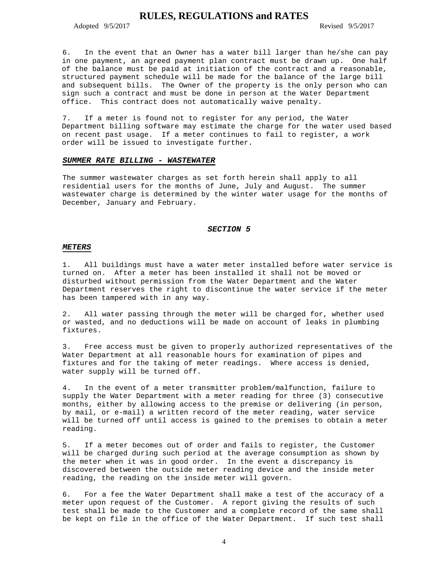Adopted 9/5/2017 Revised 9/5/2017

6. In the event that an Owner has a water bill larger than he/she can pay in one payment, an agreed payment plan contract must be drawn up. One half of the balance must be paid at initiation of the contract and a reasonable, structured payment schedule will be made for the balance of the large bill and subsequent bills. The Owner of the property is the only person who can sign such a contract and must be done in person at the Water Department office. This contract does not automatically waive penalty.

7. If a meter is found not to register for any period, the Water Department billing software may estimate the charge for the water used based on recent past usage. If a meter continues to fail to register, a work order will be issued to investigate further.

#### *SUMMER RATE BILLING - WASTEWATER*

The summer wastewater charges as set forth herein shall apply to all residential users for the months of June, July and August. The summer wastewater charge is determined by the winter water usage for the months of December, January and February.

#### *SECTION 5*

#### *METERS*

1. All buildings must have a water meter installed before water service is turned on. After a meter has been installed it shall not be moved or disturbed without permission from the Water Department and the Water Department reserves the right to discontinue the water service if the meter has been tampered with in any way.

2. All water passing through the meter will be charged for, whether used or wasted, and no deductions will be made on account of leaks in plumbing fixtures.

3. Free access must be given to properly authorized representatives of the Water Department at all reasonable hours for examination of pipes and fixtures and for the taking of meter readings. Where access is denied, water supply will be turned off.

4. In the event of a meter transmitter problem/malfunction, failure to supply the Water Department with a meter reading for three (3) consecutive months, either by allowing access to the premise or delivering (in person, by mail, or e-mail) a written record of the meter reading, water service will be turned off until access is gained to the premises to obtain a meter reading.

5. If a meter becomes out of order and fails to register, the Customer will be charged during such period at the average consumption as shown by the meter when it was in good order. In the event a discrepancy is discovered between the outside meter reading device and the inside meter reading, the reading on the inside meter will govern.

6. For a fee the Water Department shall make a test of the accuracy of a meter upon request of the Customer. A report giving the results of such test shall be made to the Customer and a complete record of the same shall be kept on file in the office of the Water Department. If such test shall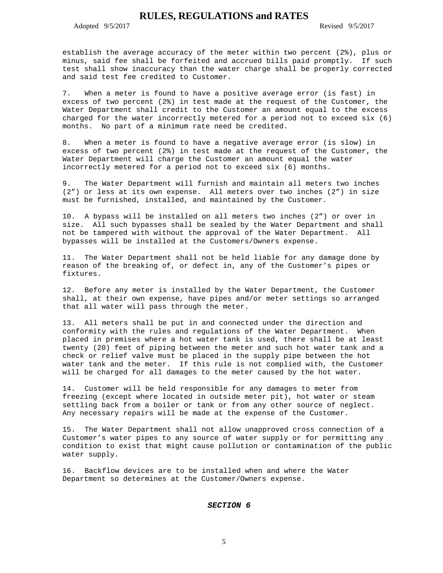Adopted 9/5/2017 Revised 9/5/2017

establish the average accuracy of the meter within two percent (2%), plus or minus, said fee shall be forfeited and accrued bills paid promptly. If such test shall show inaccuracy than the water charge shall be properly corrected and said test fee credited to Customer.

7. When a meter is found to have a positive average error (is fast) in excess of two percent (2%) in test made at the request of the Customer, the Water Department shall credit to the Customer an amount equal to the excess charged for the water incorrectly metered for a period not to exceed six (6) months. No part of a minimum rate need be credited.

8. When a meter is found to have a negative average error (is slow) in excess of two percent (2%) in test made at the request of the Customer, the Water Department will charge the Customer an amount equal the water incorrectly metered for a period not to exceed six (6) months.

9. The Water Department will furnish and maintain all meters two inches (2") or less at its own expense. All meters over two inches (2") in size must be furnished, installed, and maintained by the Customer.

10. A bypass will be installed on all meters two inches (2") or over in size. All such bypasses shall be sealed by the Water Department and shall not be tampered with without the approval of the Water Department. All bypasses will be installed at the Customers/Owners expense.

The Water Department shall not be held liable for any damage done by reason of the breaking of, or defect in, any of the Customer's pipes or fixtures.

12. Before any meter is installed by the Water Department, the Customer shall, at their own expense, have pipes and/or meter settings so arranged that all water will pass through the meter.

13. All meters shall be put in and connected under the direction and conformity with the rules and regulations of the Water Department. When placed in premises where a hot water tank is used, there shall be at least twenty (20) feet of piping between the meter and such hot water tank and a check or relief valve must be placed in the supply pipe between the hot water tank and the meter. If this rule is not complied with, the Customer will be charged for all damages to the meter caused by the hot water.

14. Customer will be held responsible for any damages to meter from freezing (except where located in outside meter pit), hot water or steam settling back from a boiler or tank or from any other source of neglect. Any necessary repairs will be made at the expense of the Customer.

15. The Water Department shall not allow unapproved cross connection of a Customer's water pipes to any source of water supply or for permitting any condition to exist that might cause pollution or contamination of the public water supply.

16. Backflow devices are to be installed when and where the Water Department so determines at the Customer/Owners expense.

### *SECTION 6*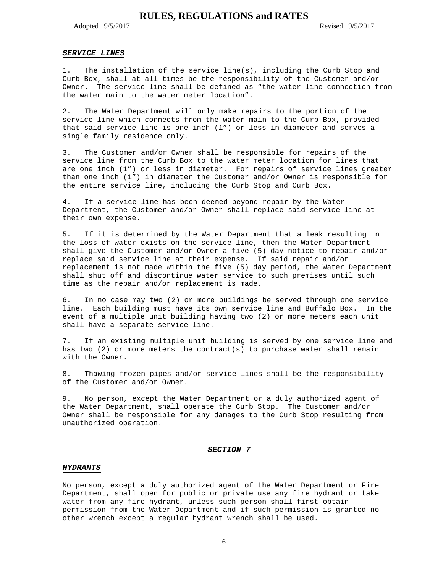Adopted 9/5/2017 Revised 9/5/2017

#### *SERVICE LINES*

1. The installation of the service line(s), including the Curb Stop and Curb Box, shall at all times be the responsibility of the Customer and/or Owner. The service line shall be defined as "the water line connection from the water main to the water meter location".

2. The Water Department will only make repairs to the portion of the service line which connects from the water main to the Curb Box, provided that said service line is one inch (1") or less in diameter and serves a single family residence only.

3. The Customer and/or Owner shall be responsible for repairs of the service line from the Curb Box to the water meter location for lines that are one inch (1") or less in diameter. For repairs of service lines greater than one inch (1") in diameter the Customer and/or Owner is responsible for the entire service line, including the Curb Stop and Curb Box.

4. If a service line has been deemed beyond repair by the Water Department, the Customer and/or Owner shall replace said service line at their own expense.

5. If it is determined by the Water Department that a leak resulting in the loss of water exists on the service line, then the Water Department shall give the Customer and/or Owner a five (5) day notice to repair and/or replace said service line at their expense. If said repair and/or replacement is not made within the five (5) day period, the Water Department shall shut off and discontinue water service to such premises until such time as the repair and/or replacement is made.

6. In no case may two (2) or more buildings be served through one service line. Each building must have its own service line and Buffalo Box. In the event of a multiple unit building having two (2) or more meters each unit shall have a separate service line.

7. If an existing multiple unit building is served by one service line and has two (2) or more meters the contract(s) to purchase water shall remain with the Owner.

8. Thawing frozen pipes and/or service lines shall be the responsibility of the Customer and/or Owner.

9. No person, except the Water Department or a duly authorized agent of the Water Department, shall operate the Curb Stop. The Customer and/or Owner shall be responsible for any damages to the Curb Stop resulting from unauthorized operation.

#### *SECTION 7*

#### *HYDRANTS*

No person, except a duly authorized agent of the Water Department or Fire Department, shall open for public or private use any fire hydrant or take water from any fire hydrant, unless such person shall first obtain permission from the Water Department and if such permission is granted no other wrench except a regular hydrant wrench shall be used.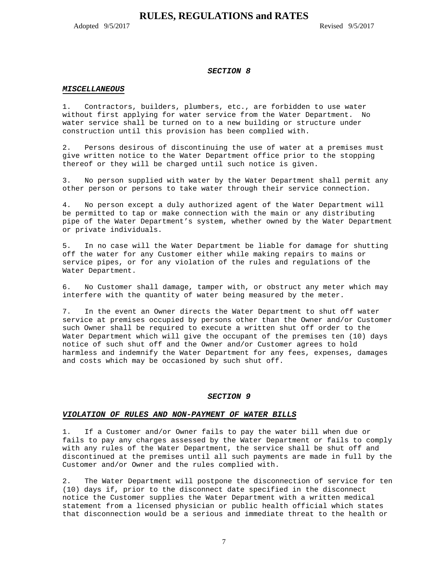Adopted 9/5/2017 Revised 9/5/2017

#### *SECTION 8*

#### *MISCELLANEOUS*

1. Contractors, builders, plumbers, etc., are forbidden to use water without first applying for water service from the Water Department. No water service shall be turned on to a new building or structure under construction until this provision has been complied with.

2. Persons desirous of discontinuing the use of water at a premises must give written notice to the Water Department office prior to the stopping thereof or they will be charged until such notice is given.

3. No person supplied with water by the Water Department shall permit any other person or persons to take water through their service connection.

4. No person except a duly authorized agent of the Water Department will be permitted to tap or make connection with the main or any distributing pipe of the Water Department's system, whether owned by the Water Department or private individuals.

5. In no case will the Water Department be liable for damage for shutting off the water for any Customer either while making repairs to mains or service pipes, or for any violation of the rules and regulations of the Water Department.

6. No Customer shall damage, tamper with, or obstruct any meter which may interfere with the quantity of water being measured by the meter.

7. In the event an Owner directs the Water Department to shut off water service at premises occupied by persons other than the Owner and/or Customer such Owner shall be required to execute a written shut off order to the Water Department which will give the occupant of the premises ten (10) days notice of such shut off and the Owner and/or Customer agrees to hold harmless and indemnify the Water Department for any fees, expenses, damages and costs which may be occasioned by such shut off.

### *SECTION 9*

#### *VIOLATION OF RULES AND NON-PAYMENT OF WATER BILLS*

1. If a Customer and/or Owner fails to pay the water bill when due or fails to pay any charges assessed by the Water Department or fails to comply with any rules of the Water Department, the service shall be shut off and discontinued at the premises until all such payments are made in full by the Customer and/or Owner and the rules complied with.

2. The Water Department will postpone the disconnection of service for ten (10) days if, prior to the disconnect date specified in the disconnect notice the Customer supplies the Water Department with a written medical statement from a licensed physician or public health official which states that disconnection would be a serious and immediate threat to the health or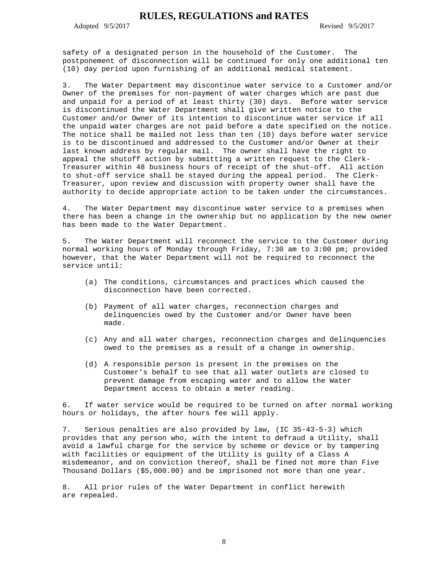Adopted 9/5/2017 Revised 9/5/2017

safety of a designated person in the household of the Customer. The postponement of disconnection will be continued for only one additional ten (10) day period upon furnishing of an additional medical statement.

3. The Water Department may discontinue water service to a Customer and/or Owner of the premises for non-payment of water charges which are past due and unpaid for a period of at least thirty (30) days. Before water service is discontinued the Water Department shall give written notice to the Customer and/or Owner of its intention to discontinue water service if all the unpaid water charges are not paid before a date specified on the notice. The notice shall be mailed not less than ten (10) days before water service is to be discontinued and addressed to the Customer and/or Owner at their last known address by regular mail. The owner shall have the right to appeal the shutoff action by submitting a written request to the Clerk-Treasurer within 48 business hours of receipt of the shut-off. All action to shut-off service shall be stayed during the appeal period. The Clerk-Treasurer, upon review and discussion with property owner shall have the authority to decide appropriate action to be taken under the circumstances.

4. The Water Department may discontinue water service to a premises when there has been a change in the ownership but no application by the new owner has been made to the Water Department.

5. The Water Department will reconnect the service to the Customer during normal working hours of Monday through Friday, 7:30 am to 3:00 pm; provided however, that the Water Department will not be required to reconnect the service until:

- (a) The conditions, circumstances and practices which caused the disconnection have been corrected.
- (b) Payment of all water charges, reconnection charges and delinquencies owed by the Customer and/or Owner have been made.
- (c) Any and all water charges, reconnection charges and delinquencies owed to the premises as a result of a change in ownership.
- (d) A responsible person is present in the premises on the Customer's behalf to see that all water outlets are closed to prevent damage from escaping water and to allow the Water Department access to obtain a meter reading.

6. If water service would be required to be turned on after normal working hours or holidays, the after hours fee will apply.

7. Serious penalties are also provided by law, (IC 35-43-5-3) which provides that any person who, with the intent to defraud a Utility, shall avoid a lawful charge for the service by scheme or device or by tampering with facilities or equipment of the Utility is guilty of a Class A misdemeanor, and on conviction thereof, shall be fined not more than Five Thousand Dollars (\$5,000.00) and be imprisoned not more than one year.

8. All prior rules of the Water Department in conflict herewith are repealed.